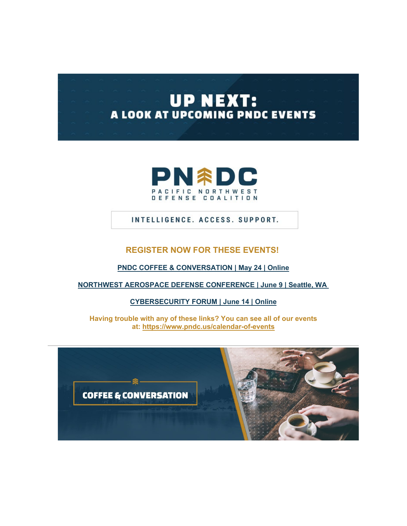# **UP NEXT:** A LOOK AT UPCOMING PNDC EVENTS



## INTELLIGENCE. ACCESS. SUPPORT.

#### **REGISTER NOW FOR THESE EVENTS!**

**[PNDC COFFEE & CONVERSATION](http://pndc.memberclicks.net/message2/link/0c17d7ab-21df-42c6-988f-db2d587762f4/1) | May 24 | Online**

**[NORTHWEST AEROSPACE DEFENSE CONFERENCE | June 9 | Seattle, WA](http://pndc.memberclicks.net/message2/link/0c17d7ab-21df-42c6-988f-db2d587762f4/2)**

**[CYBERSECURITY FORUM | June 14 | Online](http://pndc.memberclicks.net/message2/link/0c17d7ab-21df-42c6-988f-db2d587762f4/3)**

**Having trouble with any of these links? You can see all of our events at: [https://www.pndc.us/calendar-of-events](http://pndc.memberclicks.net/message2/link/0c17d7ab-21df-42c6-988f-db2d587762f4/4)**

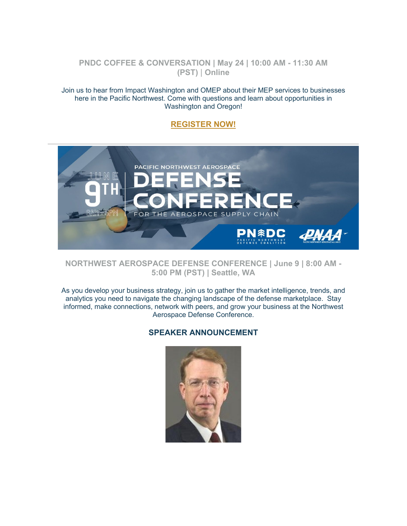## **PNDC COFFEE & CONVERSATION | May 24 | 10:00 AM - 11:30 AM (PST)** | **Online**

Join us to hear from Impact Washington and OMEP about their MEP services to businesses here in the Pacific Northwest. Come with questions and learn about opportunities in Washington and Oregon!

## **[REGISTER NOW!](http://pndc.memberclicks.net/message2/link/0c17d7ab-21df-42c6-988f-db2d587762f4/1)**



**NORTHWEST AEROSPACE DEFENSE CONFERENCE | June 9 | 8:00 AM - 5:00 PM (PST) | Seattle, WA**

As you develop your business strategy, join us to gather the market intelligence, trends, and analytics you need to navigate the changing landscape of the defense marketplace. Stay informed, make connections, network with peers, and grow your business at the Northwest Aerospace Defense Conference.

## **SPEAKER ANNOUNCEMENT**

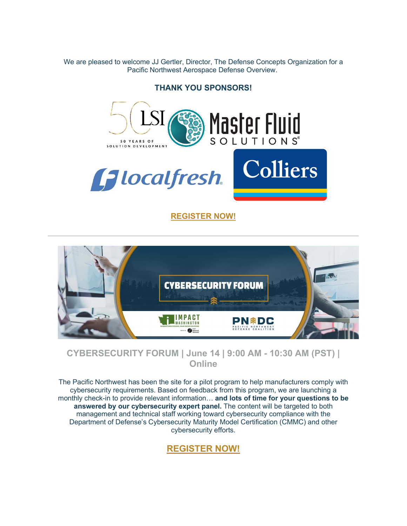We are pleased to welcome JJ Gertler, Director, The Defense Concepts Organization for a Pacific Northwest Aerospace Defense Overview.

**THANK YOU SPONSORS!**



**[REGISTER NOW!](http://pndc.memberclicks.net/message2/link/0c17d7ab-21df-42c6-988f-db2d587762f4/2)**



**CYBERSECURITY FORUM | June 14 | 9:00 AM - 10:30 AM (PST) | Online**

The Pacific Northwest has been the site for a pilot program to help manufacturers comply with cybersecurity requirements. Based on feedback from this program, we are launching a monthly check-in to provide relevant information… **and lots of time for your questions to be answered by our cybersecurity expert panel.** The content will be targeted to both management and technical staff working toward cybersecurity compliance with the Department of Defense's Cybersecurity Maturity Model Certification (CMMC) and other cybersecurity efforts.

# **[REGISTER NOW!](http://pndc.memberclicks.net/message2/link/0c17d7ab-21df-42c6-988f-db2d587762f4/3)**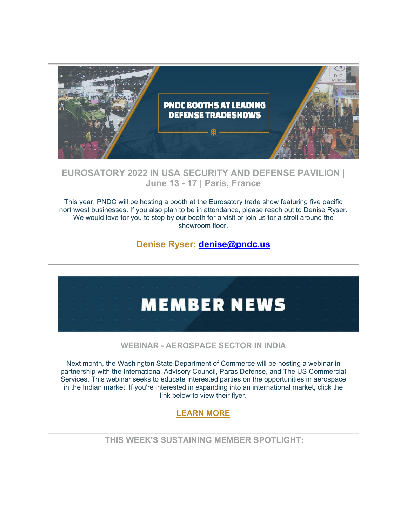

# **EUROSATORY 2022 IN USA SECURITY AND DEFENSE PAVILION | June 13 - 17 | Paris, France**

This year, PNDC will be hosting a booth at the Eurosatory trade show featuring five pacific northwest businesses. If you also plan to be in attendance, please reach out to Denise Ryser. We would love for you to stop by our booth for a visit or join us for a stroll around the showroom floor.

# **Denise Ryser: [denise@pndc.us](mailto:denise@pndc.us)**



## **WEBINAR - AEROSPACE SECTOR IN INDIA**

Next month, the Washington State Department of Commerce will be hosting a webinar in partnership with the International Advisory Council, Paras Defense, and The US Commercial Services. This webinar seeks to educate interested parties on the opportunities in aerospace in the Indian market. If you're interested in expanding into an international market, click the link below to view their flyer.

# **[LEARN MORE](http://pndc.memberclicks.net/message2/link/0c17d7ab-21df-42c6-988f-db2d587762f4/5)**

**THIS WEEK'S SUSTAINING MEMBER SPOTLIGHT:**